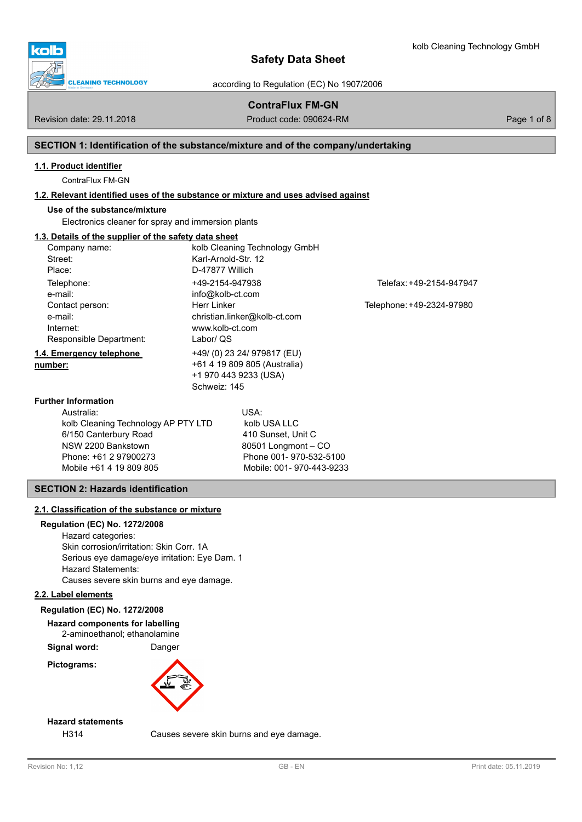

according to Regulation (EC) No 1907/2006

# **ContraFlux FM-GN**

### Revision date: 29.11.2018 **Product code: 090624-RM** Product code: 090624-RM Page 1 of 8

# **SECTION 1: Identification of the substance/mixture and of the company/undertaking**

#### **1.1. Product identifier**

ContraFlux FM-GN

#### **1.2. Relevant identified uses of the substance or mixture and uses advised against**

### **Use of the substance/mixture**

Electronics cleaner for spray and immersion plants

# **1.3. Details of the supplier of the safety data sheet**

| Company name:                       |                     | kolb Cleaning Technology GmbH |                           |
|-------------------------------------|---------------------|-------------------------------|---------------------------|
| Street:                             | Karl-Arnold-Str. 12 |                               |                           |
| Place:                              | D-47877 Willich     |                               |                           |
| Telephone:                          | +49-2154-947938     |                               | Telefax: +49-2154-947947  |
| e-mail:                             | info@kolb-ct.com    |                               |                           |
| Contact person:                     | Herr Linker         |                               | Telephone: +49-2324-97980 |
| e-mail:                             |                     | christian.linker@kolb-ct.com  |                           |
| Internet:                           | www.kolb-ct.com     |                               |                           |
| Responsible Department:             | Labor/ QS           |                               |                           |
| 1.4. Emergency telephone            |                     | +49/ (0) 23 24/ 979817 (EU)   |                           |
| number:                             |                     | +61 4 19 809 805 (Australia)  |                           |
|                                     |                     | +1 970 443 9233 (USA)         |                           |
|                                     | Schweiz: 145        |                               |                           |
| <b>Further Information</b>          |                     |                               |                           |
| Australia:                          |                     | USA:                          |                           |
| kolb Cleaning Technology AP PTY LTD |                     | kolb USA LLC                  |                           |
| 6/150 Canterbury Road               |                     | 410 Sunset, Unit C            |                           |
| NSW 2200 Bankstown                  |                     | 80501 Longmont - CO           |                           |
| Phone: +61 2 97900273               |                     | Phone 001-970-532-5100        |                           |
| Mobile +61 4 19 809 805             |                     | Mobile: 001-970-443-9233      |                           |

# **SECTION 2: Hazards identification**

#### **2.1. Classification of the substance or mixture**

### **Regulation (EC) No. 1272/2008**

Hazard categories: Skin corrosion/irritation: Skin Corr. 1A Serious eye damage/eye irritation: Eye Dam. 1 Hazard Statements: Causes severe skin burns and eye damage.

#### **2.2. Label elements**

#### **Regulation (EC) No. 1272/2008**

**Hazard components for labelling** 2-aminoethanol; ethanolamine

**Signal word:** Danger

**Pictograms:**



# **Hazard statements**

H314 Causes severe skin burns and eye damage.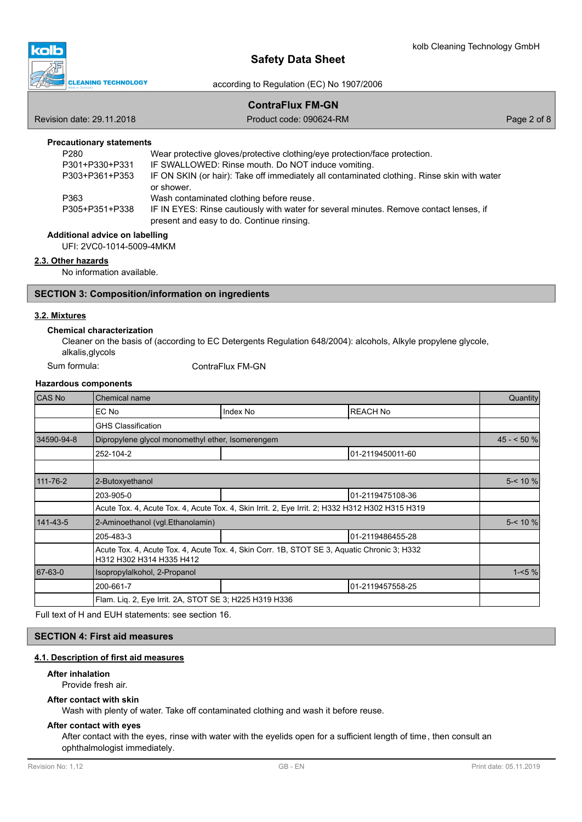

according to Regulation (EC) No 1907/2006

# **ContraFlux FM-GN**

Revision date: 29.11.2018 **Product code: 090624-RM** Product code: 090624-RM Page 2 of 8

## **Precautionary statements**

| P <sub>280</sub> | Wear protective gloves/protective clothing/eye protection/face protection.                  |
|------------------|---------------------------------------------------------------------------------------------|
| P301+P330+P331   | IF SWALLOWED: Rinse mouth. Do NOT induce vomiting.                                          |
| P303+P361+P353   | IF ON SKIN (or hair): Take off immediately all contaminated clothing. Rinse skin with water |
|                  | or shower.                                                                                  |
| P363             | Wash contaminated clothing before reuse.                                                    |
| P305+P351+P338   | IF IN EYES: Rinse cautiously with water for several minutes. Remove contact lenses, if      |
|                  | present and easy to do. Continue rinsing.                                                   |

#### **Additional advice on labelling**

UFI: 2VC0-1014-5009-4MKM

#### **2.3. Other hazards**

No information available.

## **SECTION 3: Composition/information on ingredients**

# **3.2. Mixtures**

#### **Chemical characterization**

Cleaner on the basis of (according to EC Detergents Regulation 648/2004): alcohols, Alkyle propylene glycole, alkalis,glycols

ContraFlux FM-GN

### **Hazardous components**

| <b>CAS No</b> | Chemical name                                                                                                           |                                                                                                 |                  |           |  |
|---------------|-------------------------------------------------------------------------------------------------------------------------|-------------------------------------------------------------------------------------------------|------------------|-----------|--|
|               | EC No                                                                                                                   | Index No                                                                                        | <b>REACH No</b>  |           |  |
|               | <b>GHS Classification</b>                                                                                               |                                                                                                 |                  |           |  |
| 34590-94-8    | Dipropylene glycol monomethyl ether, Isomerengem                                                                        |                                                                                                 |                  |           |  |
|               | 252-104-2                                                                                                               |                                                                                                 | 01-2119450011-60 |           |  |
|               |                                                                                                                         |                                                                                                 |                  |           |  |
| 111-76-2      | 2-Butoxyethanol                                                                                                         |                                                                                                 |                  |           |  |
|               | 203-905-0                                                                                                               |                                                                                                 | 01-2119475108-36 |           |  |
|               |                                                                                                                         | Acute Tox. 4, Acute Tox. 4, Acute Tox. 4, Skin Irrit. 2, Eye Irrit. 2; H332 H312 H302 H315 H319 |                  |           |  |
| 141-43-5      | 2-Aminoethanol (vgl. Ethanolamin)                                                                                       |                                                                                                 |                  | $5 - 10%$ |  |
|               | 205-483-3                                                                                                               |                                                                                                 | 01-2119486455-28 |           |  |
|               | Acute Tox. 4, Acute Tox. 4, Acute Tox. 4, Skin Corr. 1B, STOT SE 3, Aquatic Chronic 3; H332<br>H312 H302 H314 H335 H412 |                                                                                                 |                  |           |  |
| 67-63-0       | Isopropylalkohol, 2-Propanol                                                                                            |                                                                                                 |                  |           |  |
|               | 200-661-7                                                                                                               |                                                                                                 | 01-2119457558-25 |           |  |
|               | Flam. Liq. 2, Eye Irrit. 2A, STOT SE 3; H225 H319 H336                                                                  |                                                                                                 |                  |           |  |

Full text of H and EUH statements: see section 16.

# **SECTION 4: First aid measures**

# **4.1. Description of first aid measures**

### **After inhalation**

Provide fresh air.

#### **After contact with skin**

Wash with plenty of water. Take off contaminated clothing and wash it before reuse.

#### **After contact with eyes**

After contact with the eyes, rinse with water with the eyelids open for a sufficient length of time, then consult an ophthalmologist immediately.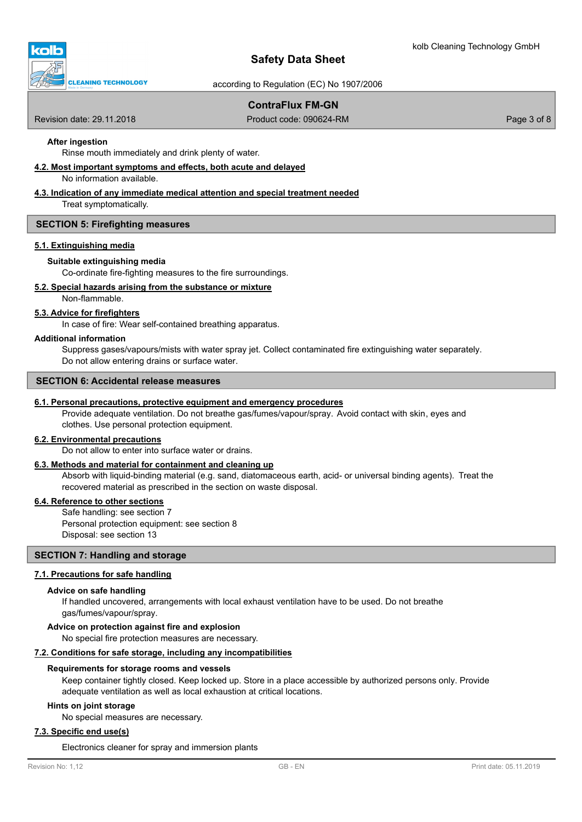

according to Regulation (EC) No 1907/2006

# **ContraFlux FM-GN**

Revision date: 29.11.2018 **Product code: 090624-RM** Product code: 090624-RM Page 3 of 8

# **After ingestion**

Rinse mouth immediately and drink plenty of water.

### **4.2. Most important symptoms and effects, both acute and delayed**

No information available.

### **4.3. Indication of any immediate medical attention and special treatment needed**

Treat symptomatically.

#### **SECTION 5: Firefighting measures**

#### **5.1. Extinguishing media**

#### **Suitable extinguishing media**

Co-ordinate fire-fighting measures to the fire surroundings.

#### **5.2. Special hazards arising from the substance or mixture**

Non-flammable.

### **5.3. Advice for firefighters**

In case of fire: Wear self-contained breathing apparatus.

#### **Additional information**

Suppress gases/vapours/mists with water spray jet. Collect contaminated fire extinguishing water separately. Do not allow entering drains or surface water.

#### **SECTION 6: Accidental release measures**

#### **6.1. Personal precautions, protective equipment and emergency procedures**

Provide adequate ventilation. Do not breathe gas/fumes/vapour/spray. Avoid contact with skin, eyes and clothes. Use personal protection equipment.

#### **6.2. Environmental precautions**

Do not allow to enter into surface water or drains.

#### **6.3. Methods and material for containment and cleaning up**

Absorb with liquid-binding material (e.g. sand, diatomaceous earth, acid- or universal binding agents). Treat the recovered material as prescribed in the section on waste disposal.

#### **6.4. Reference to other sections**

Safe handling: see section 7 Personal protection equipment: see section 8 Disposal: see section 13

# **SECTION 7: Handling and storage**

#### **7.1. Precautions for safe handling**

#### **Advice on safe handling**

If handled uncovered, arrangements with local exhaust ventilation have to be used. Do not breathe gas/fumes/vapour/spray.

#### **Advice on protection against fire and explosion**

No special fire protection measures are necessary.

#### **7.2. Conditions for safe storage, including any incompatibilities**

#### **Requirements for storage rooms and vessels**

Keep container tightly closed. Keep locked up. Store in a place accessible by authorized persons only. Provide adequate ventilation as well as local exhaustion at critical locations.

#### **Hints on joint storage**

No special measures are necessary.

# **7.3. Specific end use(s)**

Electronics cleaner for spray and immersion plants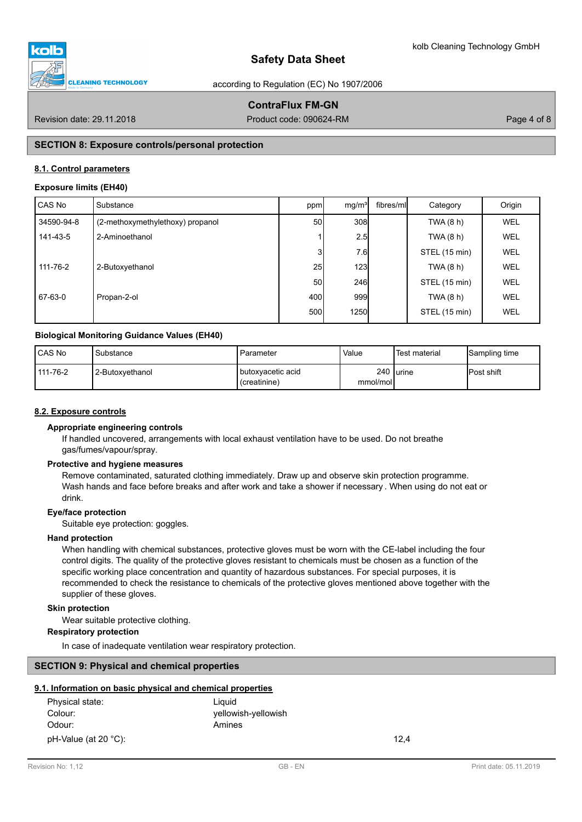

according to Regulation (EC) No 1907/2006

# **ContraFlux FM-GN**

Revision date: 29.11.2018 **Product code: 090624-RM** Product code: 090624-RM Page 4 of 8

# **SECTION 8: Exposure controls/personal protection**

### **8.1. Control parameters**

#### **Exposure limits (EH40)**

| CAS No     | Substance                        | ppm             | mg/m <sup>3</sup> | fibres/ml | Category      | Origin     |
|------------|----------------------------------|-----------------|-------------------|-----------|---------------|------------|
| 34590-94-8 | (2-methoxymethylethoxy) propanol | 50              | 308               |           | TWA (8 h)     | <b>WEL</b> |
| 141-43-5   | 2-Aminoethanol                   |                 | 2.5               |           | TWA (8 h)     | WEL        |
|            |                                  | 31              | 7.6               |           | STEL (15 min) | <b>WEL</b> |
| 111-76-2   | 2-Butoxyethanol                  | 25              | 123               |           | TWA (8 h)     | WEL        |
|            |                                  | 50 <sup>1</sup> | 246               |           | STEL (15 min) | <b>WEL</b> |
| 67-63-0    | Propan-2-ol                      | 400             | 999               |           | TWA (8 h)     | WEL        |
|            |                                  | 500l            | <b>1250</b>       |           | STEL (15 min) | WEL        |

#### **Biological Monitoring Guidance Values (EH40)**

| CAS No   | Substance         | I Parameter                                | Value    | Test material | Sampling time |
|----------|-------------------|--------------------------------------------|----------|---------------|---------------|
| 111-76-2 | l 2-Butoxvethanol | <b>I</b> butoxvacetic acid<br>(creatinine) | mmol/mol | 240 lurine    | IPost shift   |

### **8.2. Exposure controls**

#### **Appropriate engineering controls**

If handled uncovered, arrangements with local exhaust ventilation have to be used. Do not breathe gas/fumes/vapour/spray.

#### **Protective and hygiene measures**

Remove contaminated, saturated clothing immediately. Draw up and observe skin protection programme. Wash hands and face before breaks and after work and take a shower if necessary . When using do not eat or drink.

#### **Eye/face protection**

Suitable eye protection: goggles.

#### **Hand protection**

When handling with chemical substances, protective gloves must be worn with the CE-label including the four control digits. The quality of the protective gloves resistant to chemicals must be chosen as a function of the specific working place concentration and quantity of hazardous substances. For special purposes, it is recommended to check the resistance to chemicals of the protective gloves mentioned above together with the supplier of these gloves.

### **Skin protection**

Wear suitable protective clothing.

### **Respiratory protection**

In case of inadequate ventilation wear respiratory protection.

#### **SECTION 9: Physical and chemical properties**

### **9.1. Information on basic physical and chemical properties**

| Physical state:      | Liauid              |      |
|----------------------|---------------------|------|
| Colour:              | yellowish-yellowish |      |
| Odour:               | Amines              |      |
| pH-Value (at 20 °C): |                     | 12.4 |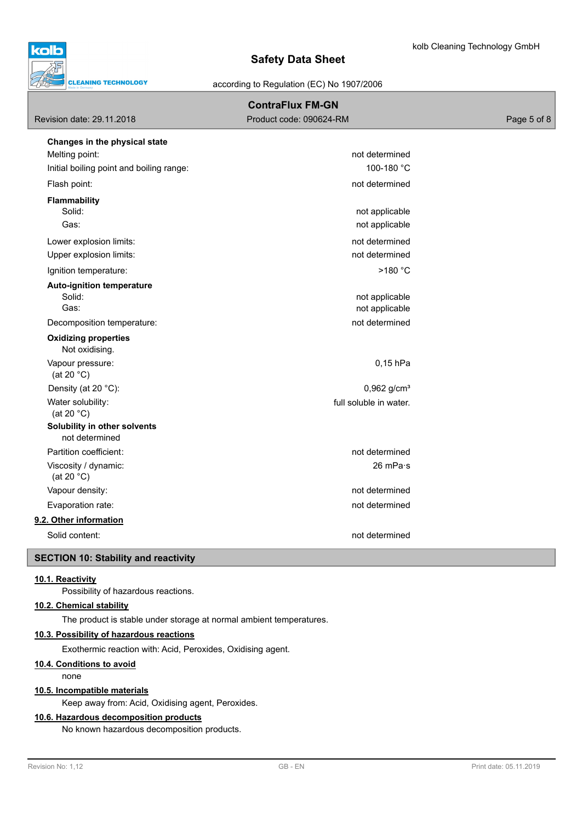

according to Regulation (EC) No 1907/2006

|                                                | <b>ContraFlux FM-GN</b>   |             |
|------------------------------------------------|---------------------------|-------------|
| Revision date: 29.11.2018                      | Product code: 090624-RM   | Page 5 of 8 |
| Changes in the physical state                  |                           |             |
| Melting point:                                 | not determined            |             |
| Initial boiling point and boiling range:       | 100-180 °C                |             |
| Flash point:                                   | not determined            |             |
| Flammability                                   |                           |             |
| Solid:                                         | not applicable            |             |
| Gas:                                           | not applicable            |             |
| Lower explosion limits:                        | not determined            |             |
| Upper explosion limits:                        | not determined            |             |
| Ignition temperature:                          | >180 °C                   |             |
| <b>Auto-ignition temperature</b>               |                           |             |
| Solid:                                         | not applicable            |             |
| Gas:                                           | not applicable            |             |
| Decomposition temperature:                     | not determined            |             |
| <b>Oxidizing properties</b><br>Not oxidising.  |                           |             |
| Vapour pressure:<br>(at 20 $°C$ )              | $0,15$ hPa                |             |
| Density (at 20 °C):                            | $0,962$ g/cm <sup>3</sup> |             |
| Water solubility:<br>(at 20 $°C$ )             | full soluble in water.    |             |
| Solubility in other solvents<br>not determined |                           |             |
| Partition coefficient:                         | not determined            |             |
| Viscosity / dynamic:<br>(at 20 $°C$ )          | 26 mPa·s                  |             |
| Vapour density:                                | not determined            |             |
| Evaporation rate:                              | not determined            |             |
| 9.2. Other information                         |                           |             |
| Solid content:                                 | not determined            |             |
| <b>SECTION 10: Stability and reactivity</b>    |                           |             |

### **10.1. Reactivity**

Possibility of hazardous reactions.

# **10.2. Chemical stability**

The product is stable under storage at normal ambient temperatures.

## **10.3. Possibility of hazardous reactions**

Exothermic reaction with: Acid, Peroxides, Oxidising agent.

# **10.4. Conditions to avoid**

none

# **10.5. Incompatible materials**

Keep away from: Acid, Oxidising agent, Peroxides.

### **10.6. Hazardous decomposition products**

No known hazardous decomposition products.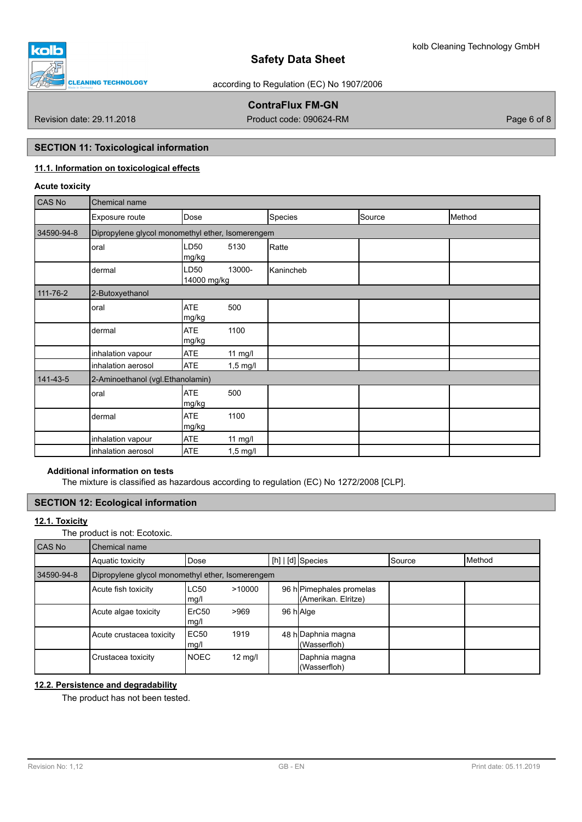

according to Regulation (EC) No 1907/2006

# **ContraFlux FM-GN**

Revision date: 29.11.2018 Product code: 090624-RM Page 6 of 8

# **SECTION 11: Toxicological information**

# **11.1. Information on toxicological effects**

# **Acute toxicity**

| CAS No     | Chemical name                                    |                     |                    |           |        |        |  |  |  |
|------------|--------------------------------------------------|---------------------|--------------------|-----------|--------|--------|--|--|--|
|            | Exposure route                                   | Dose                |                    | Species   | Source | Method |  |  |  |
| 34590-94-8 | Dipropylene glycol monomethyl ether, Isomerengem |                     |                    |           |        |        |  |  |  |
|            | oral                                             | LD50<br>mg/kg       | 5130               | Ratte     |        |        |  |  |  |
|            | dermal                                           | LD50<br>14000 mg/kg | 13000-             | Kanincheb |        |        |  |  |  |
| 111-76-2   | 2-Butoxyethanol                                  |                     |                    |           |        |        |  |  |  |
|            | oral                                             | <b>ATE</b><br>mg/kg | 500                |           |        |        |  |  |  |
|            | dermal                                           | <b>ATE</b><br>mg/kg | 1100               |           |        |        |  |  |  |
|            | inhalation vapour                                | <b>ATE</b>          | $11$ mg/l          |           |        |        |  |  |  |
|            | inhalation aerosol                               | <b>ATE</b>          | $1,5$ mg/l         |           |        |        |  |  |  |
| 141-43-5   | 2-Aminoethanol (vgl.Ethanolamin)                 |                     |                    |           |        |        |  |  |  |
|            | oral                                             | <b>ATE</b><br>mg/kg | 500                |           |        |        |  |  |  |
|            | dermal                                           | <b>ATE</b><br>mg/kg | 1100               |           |        |        |  |  |  |
|            | inhalation vapour                                | <b>ATE</b>          | $11$ mg/l          |           |        |        |  |  |  |
|            | inhalation aerosol                               | <b>ATE</b>          | $1,5 \text{ mg/l}$ |           |        |        |  |  |  |

# **Additional information on tests**

The mixture is classified as hazardous according to regulation (EC) No 1272/2008 [CLP].

# **SECTION 12: Ecological information**

## **12.1. Toxicity**

The product is not: Ecotoxic.

| CAS No     | Chemical name            |                                                  |                   |  |                                                 |               |                 |  |  |  |
|------------|--------------------------|--------------------------------------------------|-------------------|--|-------------------------------------------------|---------------|-----------------|--|--|--|
|            | Aquatic toxicity         | Dose                                             |                   |  | $[h]   [d]$ Species                             | <b>Source</b> | <b>I</b> Method |  |  |  |
| 34590-94-8 |                          | Dipropylene glycol monomethyl ether, Isomerengem |                   |  |                                                 |               |                 |  |  |  |
|            | Acute fish toxicity      | <b>LC50</b><br>mg/l                              | >10000            |  | 96 h Pimephales promelas<br>(Amerikan. Elritze) |               |                 |  |  |  |
|            | Acute algae toxicity     | ErC <sub>50</sub><br>mg/l                        | >969              |  | 96 h Alge                                       |               |                 |  |  |  |
|            | Acute crustacea toxicity | EC <sub>50</sub><br>mg/l                         | 1919              |  | 48 h Daphnia magna<br>(Wasserfloh)              |               |                 |  |  |  |
|            | Crustacea toxicity       | <b>NOEC</b>                                      | $12 \text{ mg/l}$ |  | Daphnia magna<br>(Wasserfloh)                   |               |                 |  |  |  |

# **12.2. Persistence and degradability**

The product has not been tested.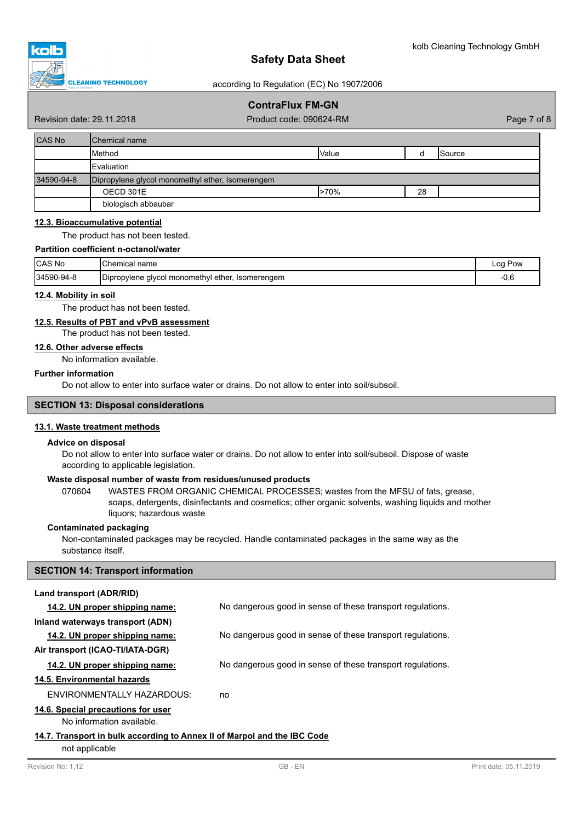

according to Regulation (EC) No 1907/2006

# **ContraFlux FM-GN**

Revision date: 29.11.2018 **Product code: 090624-RM** Product code: 090624-RM Page 7 of 8

| <b>CAS No</b> | <b>IChemical name</b>                            |              |    |                |  |  |  |
|---------------|--------------------------------------------------|--------------|----|----------------|--|--|--|
|               | Method                                           | <b>Value</b> |    | <b>ISource</b> |  |  |  |
|               | <b>Evaluation</b>                                |              |    |                |  |  |  |
| 34590-94-8    | Dipropylene glycol monomethyl ether, Isomerengem |              |    |                |  |  |  |
|               | OECD 301E                                        | $>70\%$      | 28 |                |  |  |  |
|               | biologisch abbaubar                              |              |    |                |  |  |  |

# **12.3. Bioaccumulative potential**

The product has not been tested.

#### **Partition coefficient n-octanol/water**

| CAS No     | <b>IChemical name</b>                                         | Pow<br>Loa |
|------------|---------------------------------------------------------------|------------|
| 34590-94-8 | Dipropylene glycol monomethyl<br>i ether.<br>Isomerengem<br>. | -v.u       |

#### **12.4. Mobility in soil**

The product has not been tested.

# **12.5. Results of PBT and vPvB assessment**

The product has not been tested.

#### **12.6. Other adverse effects**

No information available.

#### **Further information**

Do not allow to enter into surface water or drains. Do not allow to enter into soil/subsoil.

#### **SECTION 13: Disposal considerations**

#### **13.1. Waste treatment methods**

#### **Advice on disposal**

Do not allow to enter into surface water or drains. Do not allow to enter into soil/subsoil. Dispose of waste according to applicable legislation.

## **Waste disposal number of waste from residues/unused products**

070604 WASTES FROM ORGANIC CHEMICAL PROCESSES; wastes from the MFSU of fats, grease, soaps, detergents, disinfectants and cosmetics; other organic solvents, washing liquids and mother liquors; hazardous waste

#### **Contaminated packaging**

Non-contaminated packages may be recycled. Handle contaminated packages in the same way as the substance itself.

#### **SECTION 14: Transport information**

#### **Land transport (ADR/RID)**

| 14.2. UN proper shipping name:                                           | No dangerous good in sense of these transport regulations. |  |
|--------------------------------------------------------------------------|------------------------------------------------------------|--|
| Inland waterways transport (ADN)                                         |                                                            |  |
| 14.2. UN proper shipping name:                                           | No dangerous good in sense of these transport regulations. |  |
| Air transport (ICAO-TI/IATA-DGR)                                         |                                                            |  |
| 14.2. UN proper shipping name:                                           | No dangerous good in sense of these transport regulations. |  |
| 14.5. Environmental hazards                                              |                                                            |  |
| ENVIRONMENTALLY HAZARDOUS:                                               | no                                                         |  |
| 14.6. Special precautions for user                                       |                                                            |  |
| No information available.                                                |                                                            |  |
| 14.7. Transport in bulk according to Annex II of Marpol and the IBC Code |                                                            |  |

not applicable